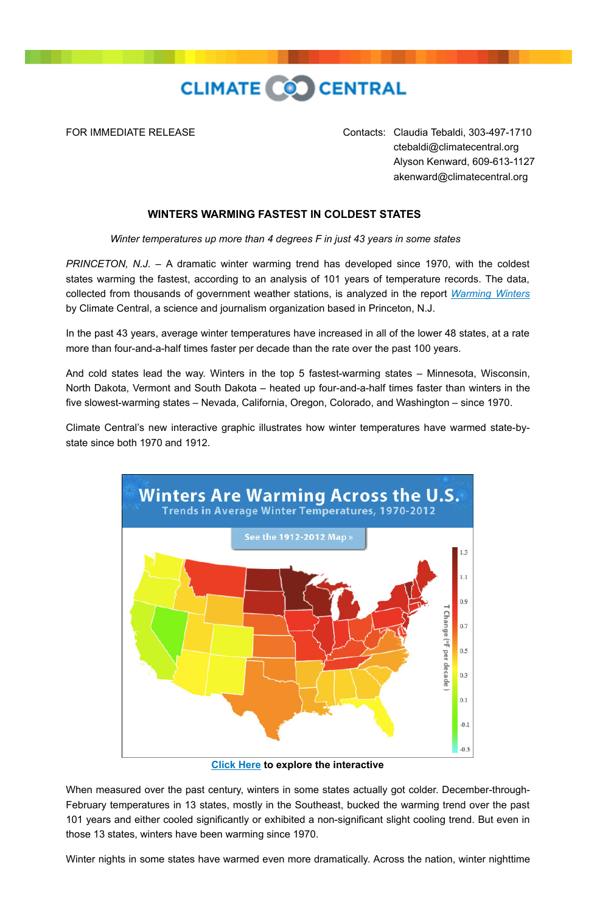

FOR IMMEDIATE RELEASE Contacts: Claudia Tebaldi, 303-497-1710 ctebaldi@climatecentral.org Alyson Kenward, 609-613-1127 akenward@climatecentral.org

## **WINTERS WARMING FASTEST IN COLDEST STATES**

*Winter temperatures up more than 4 degrees F in just 43 years in some states* 

*PRINCETON, N.J.* – A dramatic winter warming trend has developed since 1970, with the coldest states warming the fastest, according to an analysis of 101 years of temperature records. The data, collected from thousands of government weather stations, is analyzed in the report *[Warming Winters](http://www.climatecentral.org/news/winters-are-warming-all-across-the-us-15590)* by Climate Central, a science and journalism organization based in Princeton, N.J.

In the past 43 years, average winter temperatures have increased in all of the lower 48 states, at a rate more than four-and-a-half times faster per decade than the rate over the past 100 years.

And cold states lead the way. Winters in the top 5 fastest-warming states – Minnesota, Wisconsin, North Dakota, Vermont and South Dakota – heated up four-and-a-half times faster than winters in the five slowest-warming states – Nevada, California, Oregon, Colorado, and Washington – since 1970.

Climate Central's new interactive graphic illustrates how winter temperatures have warmed state-bystate since both 1970 and 1912.



**[Click Here](http://www.climatecentral.org/news/winters-are-warming-all-across-the-us-15590) to explore the interactive**

When measured over the past century, winters in some states actually got colder. December-through-February temperatures in 13 states, mostly in the Southeast, bucked the warming trend over the past 101 years and either cooled significantly or exhibited a non-significant slight cooling trend. But even in those 13 states, winters have been warming since 1970.

Winter nights in some states have warmed even more dramatically. Across the nation, winter nighttime